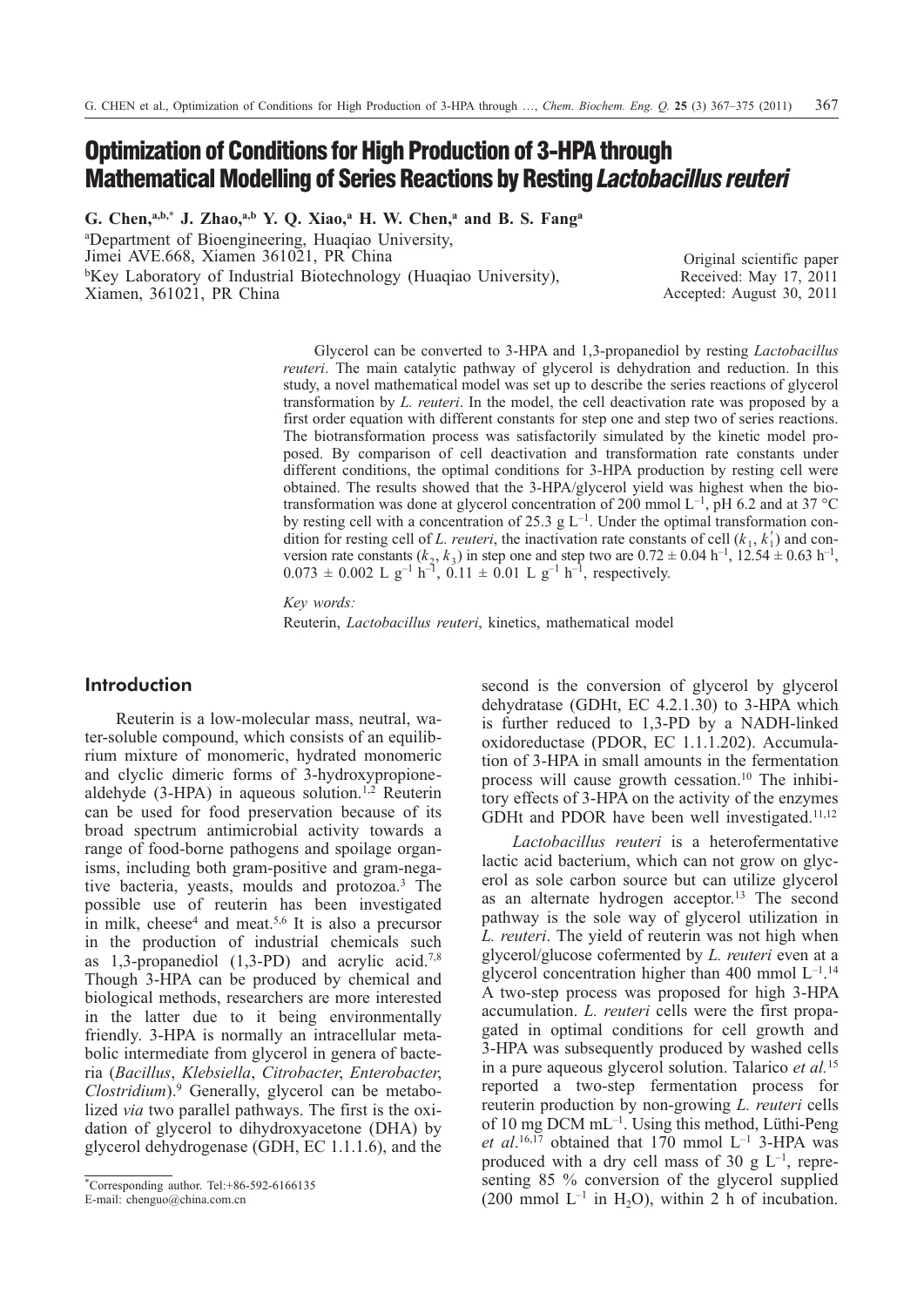# **Optimization of Conditions for High Production of 3-HPA through Mathematical Modelling of Series Reactions by Resting** *Lactobacillus reuteri*

**G. Chen,a,b,\* J. Zhao,a,b Y. Q. Xiao,a H. W. Chen,a and B. S. Fanga**

a Department of Bioengineering, Huaqiao University, Jimei AVE.668, Xiamen 361021, PR China bKey Laboratory of Industrial Biotechnology (Huaqiao University), Xiamen, 361021, PR China

Original scientific paper Received: May 17, 2011 Accepted: August 30, 2011

Glycerol can be converted to 3-HPA and 1,3-propanediol by resting *Lactobacillus reuteri*. The main catalytic pathway of glycerol is dehydration and reduction. In this study, a novel mathematical model was set up to describe the series reactions of glycerol transformation by *L. reuteri*. In the model, the cell deactivation rate was proposed by a first order equation with different constants for step one and step two of series reactions. The biotransformation process was satisfactorily simulated by the kinetic model proposed. By comparison of cell deactivation and transformation rate constants under different conditions, the optimal conditions for 3-HPA production by resting cell were obtained. The results showed that the 3-HPA/glycerol yield was highest when the biotransformation was done at glycerol concentration of 200 mmol  $L^{-1}$ , pH 6.2 and at 37 °C by resting cell with a concentration of 25.3 g  $L^{-1}$ . Under the optimal transformation condition for resting cell of *L. reuteri*, the inactivation rate constants of cell  $(k_1, k'_1)$  and conversion rate constants  $(k_2, k_3)$  in step one and step two are  $0.72 \pm 0.04$  h<sup>-1</sup>,  $12.54 \pm 0.63$  h<sup>-1</sup>,  $0.073 \pm 0.002$  L g<sup>-1</sup> h<sup>-1</sup>,  $0.11 \pm 0.01$  L g<sup>-1</sup> h<sup>-1</sup>, respectively.

*Key words:* Reuterin, *Lactobacillus reuteri*, kinetics, mathematical model

## **Introduction**

Reuterin is a low-molecular mass, neutral, water-soluble compound, which consists of an equilibrium mixture of monomeric, hydrated monomeric and clyclic dimeric forms of 3-hydroxypropionealdehyde  $(3-HPA)$  in aqueous solution.<sup>1,2</sup> Reuterin can be used for food preservation because of its broad spectrum antimicrobial activity towards a range of food-borne pathogens and spoilage organisms, including both gram-positive and gram-negative bacteria, yeasts, moulds and protozoa.3 The possible use of reuterin has been investigated in milk, cheese<sup>4</sup> and meat.<sup>5,6</sup> It is also a precursor in the production of industrial chemicals such as  $1,3$ -propanediol  $(1,3$ -PD) and acrylic acid.<sup>7,8</sup> Though 3-HPA can be produced by chemical and biological methods, researchers are more interested in the latter due to it being environmentally friendly. 3-HPA is normally an intracellular metabolic intermediate from glycerol in genera of bacteria (*Bacillus*, *Klebsiella*, *Citrobacter*, *Enterobacter*, *Clostridium*).9 Generally, glycerol can be metabolized *via* two parallel pathways. The first is the oxidation of glycerol to dihydroxyacetone (DHA) by glycerol dehydrogenase (GDH, EC 1.1.1.6), and the

E-mail: chenguo@china.com.cn

second is the conversion of glycerol by glycerol dehydratase (GDHt, EC 4.2.1.30) to 3-HPA which is further reduced to 1,3-PD by a NADH-linked oxidoreductase (PDOR, EC 1.1.1.202). Accumulation of 3-HPA in small amounts in the fermentation process will cause growth cessation.<sup>10</sup> The inhibitory effects of 3-HPA on the activity of the enzymes GDHt and PDOR have been well investigated.<sup>11,12</sup>

*Lactobacillus reuteri* is a heterofermentative lactic acid bacterium, which can not grow on glycerol as sole carbon source but can utilize glycerol as an alternate hydrogen acceptor.<sup>13</sup> The second pathway is the sole way of glycerol utilization in *L. reuteri*. The yield of reuterin was not high when glycerol/glucose cofermented by *L. reuteri* even at a glycerol concentration higher than 400 mmol  $L^{-1}$ .<sup>14</sup> A two-step process was proposed for high 3-HPA accumulation. *L. reuteri* cells were the first propagated in optimal conditions for cell growth and 3-HPA was subsequently produced by washed cells in a pure aqueous glycerol solution. Talarico *et al.*<sup>15</sup> reported a two-step fermentation process for reuterin production by non-growing *L. reuteri* cells of 10 mg DCM mL–1. Using this method, Lüthi-Peng *et al.*<sup>16,17</sup> obtained that 170 mmol  $L^{-1}$  3-HPA was produced with a dry cell mass of 30 g  $L^{-1}$ , representing 85 % conversion of the glycerol supplied (200 mmol  $L^{-1}$  in H<sub>2</sub>O), within 2 h of incubation.

<sup>\*</sup>Corresponding author. Tel:+86-592-6166135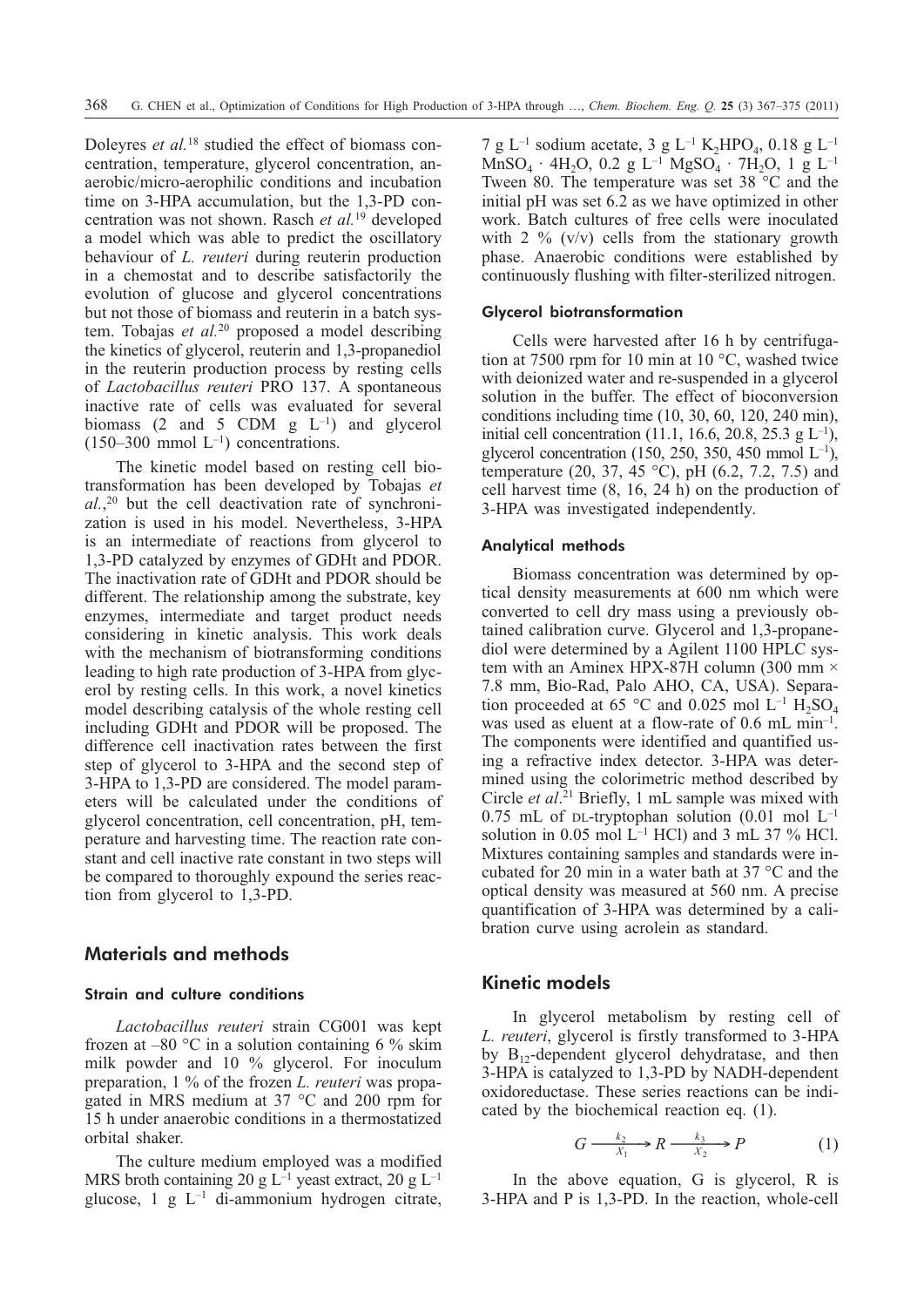Doleyres *et al.*<sup>18</sup> studied the effect of biomass concentration, temperature, glycerol concentration, anaerobic/micro-aerophilic conditions and incubation time on 3-HPA accumulation, but the 1,3-PD concentration was not shown. Rasch *et al.*<sup>19</sup> developed a model which was able to predict the oscillatory behaviour of *L. reuteri* during reuterin production in a chemostat and to describe satisfactorily the evolution of glucose and glycerol concentrations but not those of biomass and reuterin in a batch system. Tobajas *et al.*<sup>20</sup> proposed a model describing the kinetics of glycerol, reuterin and 1,3-propanediol in the reuterin production process by resting cells of *Lactobacillus reuteri* PRO 137. A spontaneous inactive rate of cells was evaluated for several biomass (2 and 5 CDM  $g$  L<sup>-1</sup>) and glycerol  $(150-300 \text{ mmol L}^{-1})$  concentrations.

The kinetic model based on resting cell biotransformation has been developed by Tobajas *et al.*, <sup>20</sup> but the cell deactivation rate of synchronization is used in his model. Nevertheless, 3-HPA is an intermediate of reactions from glycerol to 1,3-PD catalyzed by enzymes of GDHt and PDOR. The inactivation rate of GDHt and PDOR should be different. The relationship among the substrate, key enzymes, intermediate and target product needs considering in kinetic analysis. This work deals with the mechanism of biotransforming conditions leading to high rate production of 3-HPA from glycerol by resting cells. In this work, a novel kinetics model describing catalysis of the whole resting cell including GDHt and PDOR will be proposed. The difference cell inactivation rates between the first step of glycerol to 3-HPA and the second step of 3-HPA to 1,3-PD are considered. The model parameters will be calculated under the conditions of glycerol concentration, cell concentration, pH, temperature and harvesting time. The reaction rate constant and cell inactive rate constant in two steps will be compared to thoroughly expound the series reaction from glycerol to 1,3-PD.

## **Materials and methods**

#### Strain and culture conditions

*Lactobacillus reuteri* strain CG001 was kept frozen at  $-80$  °C in a solution containing 6 % skim milk powder and 10 % glycerol. For inoculum preparation, 1 % of the frozen *L. reuteri* was propagated in MRS medium at 37 °C and 200 rpm for 15 h under anaerobic conditions in a thermostatized orbital shaker.

The culture medium employed was a modified MRS broth containing 20 g  $L^{-1}$  yeast extract, 20 g  $L^{-1}$ glucose,  $1 \text{ g } L^{-1}$  di-ammonium hydrogen citrate, 7 g L<sup>-1</sup> sodium acetate, 3 g L<sup>-1</sup> K<sub>2</sub>HPO<sub>4</sub>, 0.18 g L<sup>-1</sup>  $MnSO_4 \cdot 4H_2O$ , 0.2 g L<sup>-1</sup> MgSO<sub>4</sub> · 7H<sub>2</sub>O, 1 g L<sup>-1</sup> Tween 80. The temperature was set 38 °C and the initial pH was set 6.2 as we have optimized in other work. Batch cultures of free cells were inoculated with 2  $\%$  (v/v) cells from the stationary growth phase. Anaerobic conditions were established by continuously flushing with filter-sterilized nitrogen.

#### Glycerol biotransformation

Cells were harvested after 16 h by centrifugation at 7500 rpm for 10 min at 10 °C, washed twice with deionized water and re-suspended in a glycerol solution in the buffer. The effect of bioconversion conditions including time (10, 30, 60, 120, 240 min), initial cell concentration (11.1, 16.6, 20.8, 25.3 g  $L^{-1}$ ), glycerol concentration (150, 250, 350, 450 mmol  $L^{-1}$ ), temperature (20, 37, 45 °C), pH (6.2, 7.2, 7.5) and cell harvest time (8, 16, 24 h) on the production of 3-HPA was investigated independently.

#### Analytical methods

Biomass concentration was determined by optical density measurements at 600 nm which were converted to cell dry mass using a previously obtained calibration curve. Glycerol and 1,3-propanediol were determined by a Agilent 1100 HPLC system with an Aminex HPX-87H column (300 mm × 7.8 mm, Bio-Rad, Palo AHO, CA, USA). Separation proceeded at 65 °C and 0.025 mol  $L^{-1}$  H<sub>2</sub>SO<sub>4</sub> was used as eluent at a flow-rate of 0.6 mL min<sup>-1</sup>. The components were identified and quantified using a refractive index detector. 3-HPA was determined using the colorimetric method described by Circle *et al*. <sup>21</sup> Briefly, 1 mL sample was mixed with 0.75 mL of DL-tryptophan solution  $(0.01 \text{ mol } L^{-1})$ solution in 0.05 mol  $L^{-1}$  HCl) and 3 mL 37 % HCl. Mixtures containing samples and standards were incubated for 20 min in a water bath at 37 °C and the optical density was measured at 560 nm. A precise quantification of 3-HPA was determined by a calibration curve using acrolein as standard.

## **Kinetic models**

In glycerol metabolism by resting cell of *L. reuteri*, glycerol is firstly transformed to 3-HPA by  $B_{12}$ -dependent glycerol dehydratase, and then 3-HPA is catalyzed to 1,3-PD by NADH-dependent oxidoreductase. These series reactions can be indicated by the biochemical reaction eq. (1).

$$
G \xrightarrow{k_2} R \xrightarrow{k_3} P \tag{1}
$$

In the above equation, G is glycerol, R is 3-HPA and P is 1,3-PD. In the reaction, whole-cell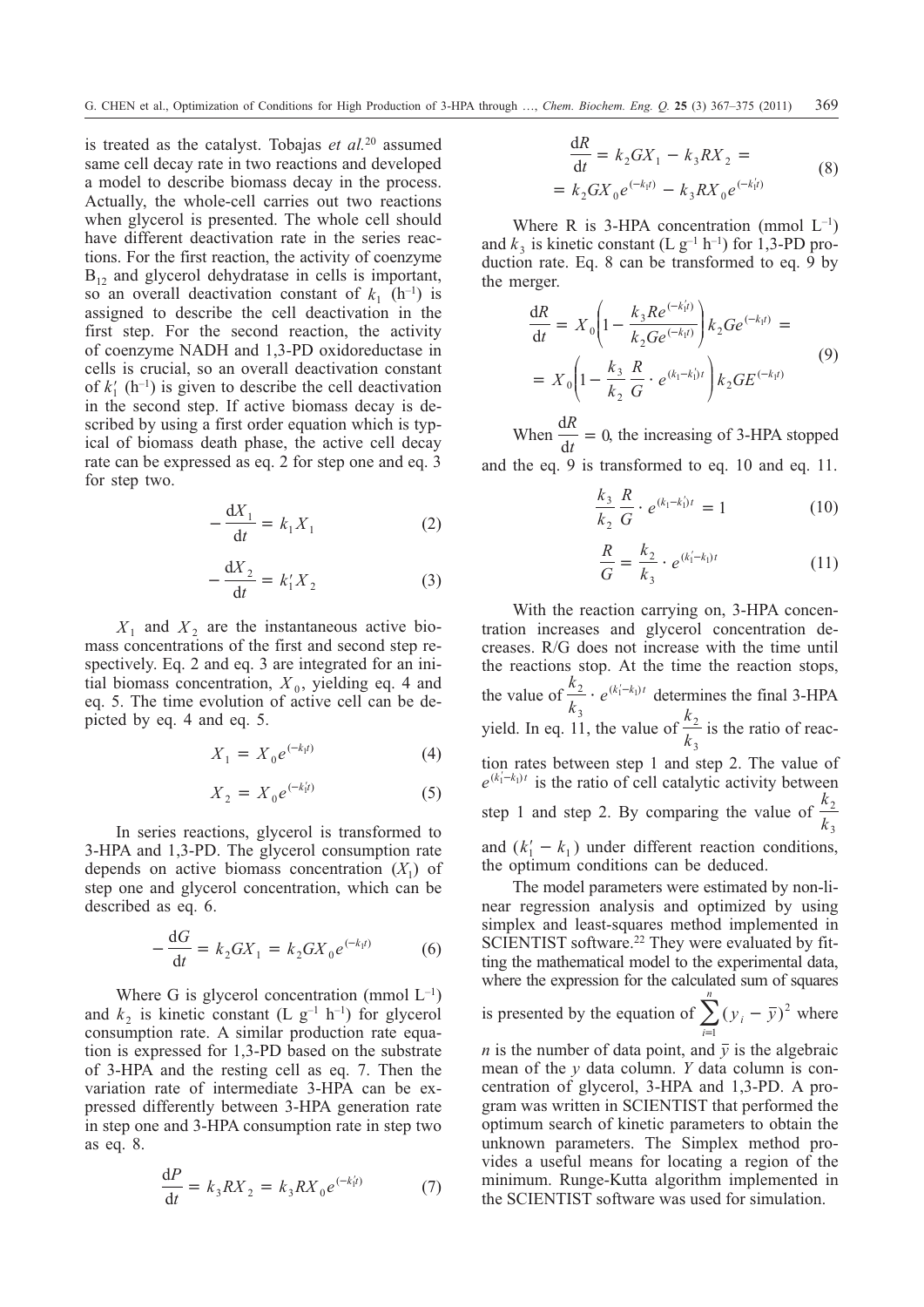is treated as the catalyst. Tobajas *et al.*<sup>20</sup> assumed same cell decay rate in two reactions and developed a model to describe biomass decay in the process. Actually, the whole-cell carries out two reactions when glycerol is presented. The whole cell should have different deactivation rate in the series reactions. For the first reaction, the activity of coenzyme  $B_{12}$  and glycerol dehydratase in cells is important, so an overall deactivation constant of  $k_1$  (h<sup>-1</sup>) is assigned to describe the cell deactivation in the first step. For the second reaction, the activity of coenzyme NADH and 1,3-PD oxidoreductase in cells is crucial, so an overall deactivation constant of  $k_1'$  (h<sup>-1</sup>) is given to describe the cell deactivation in the second step. If active biomass decay is described by using a first order equation which is typical of biomass death phase, the active cell decay rate can be expressed as eq. 2 for step one and eq. 3 for step two.

$$
-\frac{\mathrm{d}X_1}{\mathrm{d}t} = k_1 X_1 \tag{2}
$$

$$
-\frac{\mathrm{d}X_2}{\mathrm{d}t} = k_1' X_2 \tag{3}
$$

 $X_1$  and  $X_2$  are the instantaneous active biomass concentrations of the first and second step respectively. Eq. 2 and eq. 3 are integrated for an initial biomass concentration,  $X_0$ , yielding eq. 4 and eq. 5. The time evolution of active cell can be depicted by eq. 4 and eq. 5.

$$
X_1 = X_0 e^{(-k_1 t)} \tag{4}
$$

$$
X_2 = X_0 e^{(-k_1't)}
$$
 (5)

In series reactions, glycerol is transformed to 3-HPA and 1,3-PD. The glycerol consumption rate depends on active biomass concentration  $(X_1)$  of step one and glycerol concentration, which can be described as eq. 6.

$$
-\frac{dG}{dt} = k_2 G X_1 = k_2 G X_0 e^{(-k_1 t)}
$$
 (6)

Where G is glycerol concentration (mmol  $L^{-1}$ ) and  $k_2$  is kinetic constant (L g<sup>-1</sup> h<sup>-1</sup>) for glycerol consumption rate. A similar production rate equation is expressed for 1,3-PD based on the substrate of 3-HPA and the resting cell as eq. 7. Then the variation rate of intermediate 3-HPA can be expressed differently between 3-HPA generation rate in step one and 3-HPA consumption rate in step two as eq. 8.

$$
\frac{dP}{dt} = k_3 R X_2 = k_3 R X_0 e^{(-k_1 t)}
$$
 (7)

$$
\frac{dR}{dt} = k_2 G X_1 - k_3 R X_2 =
$$
  
=  $k_2 G X_0 e^{(-k_1 t)} - k_3 R X_0 e^{(-k_1 t)}$  (8)

Where R is 3-HPA concentration (mmol  $L^{-1}$ ) and  $k_3$  is kinetic constant (L  $g^{-1}$  h<sup>-1</sup>) for 1,3-PD production rate. Eq. 8 can be transformed to eq. 9 by the merger.

$$
\frac{dR}{dt} = X_0 \left( 1 - \frac{k_3 Re^{(-k'_1 t)}}{k_2 Ge^{(-k_1 t)}} \right) k_2 Ge^{(-k_1 t)} =
$$
\n
$$
= X_0 \left( 1 - \frac{k_3}{k_2} \frac{R}{G} \cdot e^{(k_1 - k'_1)t} \right) k_2 GE^{(-k_1 t)}
$$
\n(9)

When  $\frac{d}{dx}$ d  $\frac{R}{dt} = 0$ , the increasing of 3-HPA stopped and the eq. 9 is transformed to eq. 10 and eq. 11.

$$
\frac{k_3}{k_2} \frac{R}{G} \cdot e^{(k_1 - k_1')t} = 1 \tag{10}
$$

$$
\frac{R}{G} = \frac{k_2}{k_3} \cdot e^{(k_1'-k_1)t} \tag{11}
$$

With the reaction carrying on, 3-HPA concentration increases and glycerol concentration decreases. R/G does not increase with the time until the reactions stop. At the time the reaction stops, the value of *k*  $\frac{k_2}{k_3} \cdot e^{(k_1'-k_1)t}$ 3  $\cdot e^{(k_1-k_1)t}$  determines the final 3-HPA yield. In eq. 11, the value of *k k* 2 3 is the ratio of reaction rates between step 1 and step 2. The value of  $e^{(k_1 - k_1)t}$  is the ratio of cell catalytic activity between step 1 and step 2. By comparing the value of *k k* 2 3 and  $(k'_1 - k_1)$  under different reaction conditions, the optimum conditions can be deduced.

The model parameters were estimated by non-linear regression analysis and optimized by using simplex and least-squares method implemented in SCIENTIST software.<sup>22</sup> They were evaluated by fitting the mathematical model to the experimental data, where the expression for the calculated sum of squares

is presented by the equation of 
$$
\sum_{i=1}^{n} (y_i - \bar{y})^2
$$
 where

*n* is the number of data point, and  $\overline{y}$  is the algebraic mean of the *y* data column. *Y* data column is concentration of glycerol, 3-HPA and 1,3-PD. A program was written in SCIENTIST that performed the optimum search of kinetic parameters to obtain the unknown parameters. The Simplex method provides a useful means for locating a region of the minimum. Runge-Kutta algorithm implemented in the SCIENTIST software was used for simulation.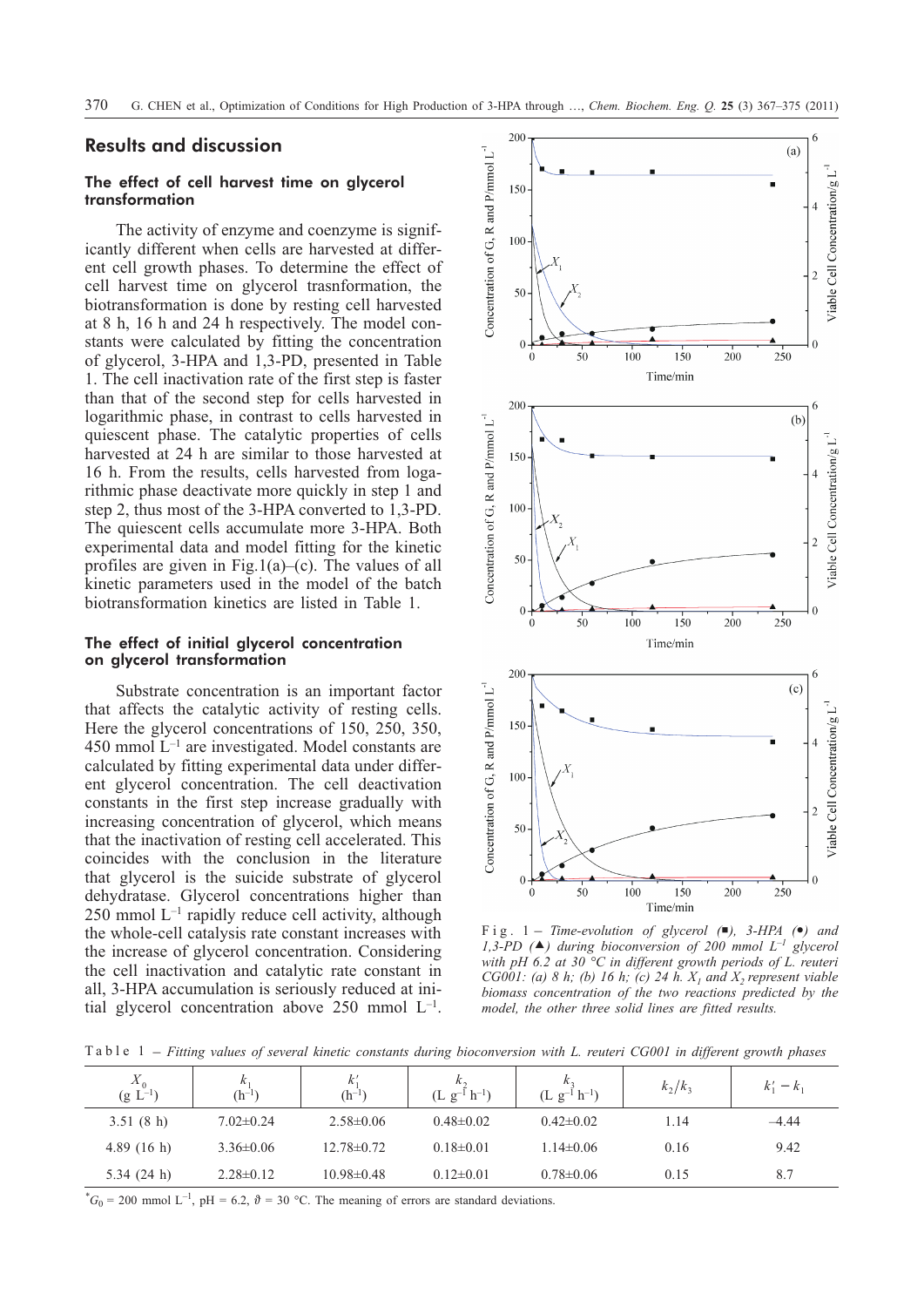## **Results and discussion**

### The effect of cell harvest time on glycerol transformation

The activity of enzyme and coenzyme is significantly different when cells are harvested at different cell growth phases. To determine the effect of cell harvest time on glycerol trasnformation, the biotransformation is done by resting cell harvested at 8 h, 16 h and 24 h respectively. The model constants were calculated by fitting the concentration of glycerol, 3-HPA and 1,3-PD, presented in Table 1. The cell inactivation rate of the first step is faster than that of the second step for cells harvested in logarithmic phase, in contrast to cells harvested in quiescent phase. The catalytic properties of cells harvested at 24 h are similar to those harvested at 16 h. From the results, cells harvested from logarithmic phase deactivate more quickly in step 1 and step 2, thus most of the 3-HPA converted to 1,3-PD. The quiescent cells accumulate more 3-HPA. Both experimental data and model fitting for the kinetic profiles are given in Fig.1(a)–(c). The values of all kinetic parameters used in the model of the batch biotransformation kinetics are listed in Table 1.

#### The effect of initial glycerol concentration on glycerol transformation

Substrate concentration is an important factor that affects the catalytic activity of resting cells. Here the glycerol concentrations of 150, 250, 350, 450 mmol  $L^{-1}$  are investigated. Model constants are calculated by fitting experimental data under different glycerol concentration. The cell deactivation constants in the first step increase gradually with increasing concentration of glycerol, which means that the inactivation of resting cell accelerated. This coincides with the conclusion in the literature that glycerol is the suicide substrate of glycerol dehydratase. Glycerol concentrations higher than  $250$  mmol  $L^{-1}$  rapidly reduce cell activity, although the whole-cell catalysis rate constant increases with the increase of glycerol concentration. Considering the cell inactivation and catalytic rate constant in all, 3-HPA accumulation is seriously reduced at initial glycerol concentration above 250 mmol L–1.



*1,3-PD* ( $\blacktriangle$ ) during bioconversion of 200 mmol  $L^{-1}$  glycerol *with pH 6.2 at 30 °C in different growth periods of L. reuteri CG001: (a) 8 h; (b) 16 h; (c) 24 h.*  $X_1$  *and*  $X_2$  *represent viable biomass concentration of the two reactions predicted by the model, the other three solid lines are fitted results.*

Table 1 – *Fitting values of several kinetic constants during bioconversion with L. reuteri CG001 in different growth phases*

| $\frac{X_0}{(g L^{-1})}$ | $K_{1}$<br>$(h^{-1})$ | $k_1'$<br>$(h^{-1})$ | $k_{\alpha}$<br>$(L g^{-1} h^{-1})$ | $k_{\alpha}$<br>$(L g^{-1} h^{-1})$ | $k_2/k_3$ | $k'_1 - k_1$ |
|--------------------------|-----------------------|----------------------|-------------------------------------|-------------------------------------|-----------|--------------|
| 3.51(8 h)                | $7.02 \pm 0.24$       | $2.58 \pm 0.06$      | $0.48 \pm 0.02$                     | $0.42 \pm 0.02$                     | 1.14      | $-4.44$      |
| 4.89 $(16 h)$            | $3.36 \pm 0.06$       | $12.78 \pm 0.72$     | $0.18 \pm 0.01$                     | $1.14 \pm 0.06$                     | 0.16      | 9.42         |
| 5.34 $(24 h)$            | $2.28 \pm 0.12$       | $10.98 \pm 0.48$     | $0.12\pm0.01$                       | $0.78 \pm 0.06$                     | 0.15      | 8.7          |

 $^*G_0 = 200$  mmol L<sup>-1</sup>, pH = 6.2,  $\vartheta = 30$  °C. The meaning of errors are standard deviations.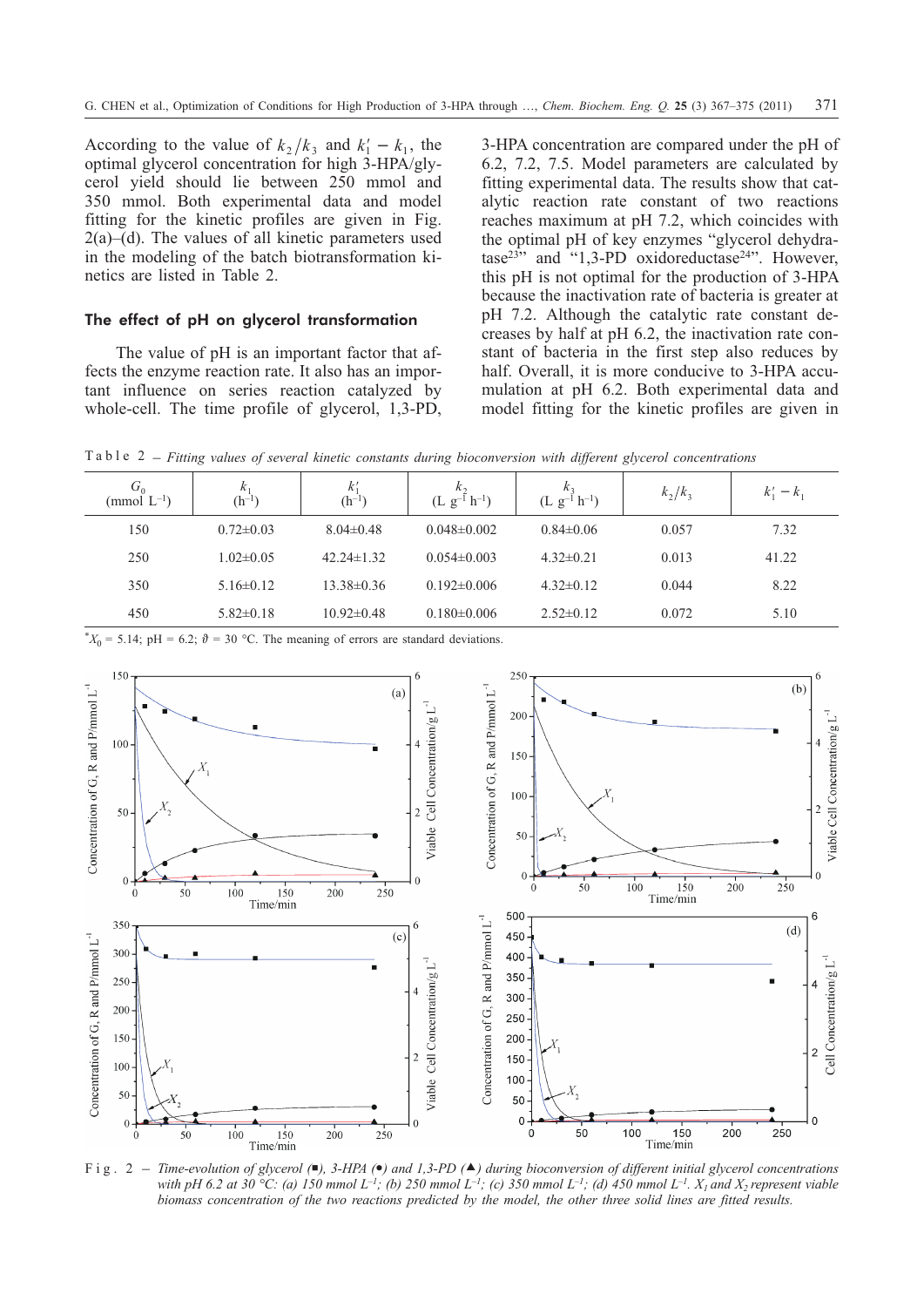According to the value of  $k_2/k_3$  and  $k'_1 - k_1$ , the optimal glycerol concentration for high 3-HPA/glycerol yield should lie between 250 mmol and 350 mmol. Both experimental data and model fitting for the kinetic profiles are given in Fig.  $2(a)$ –(d). The values of all kinetic parameters used in the modeling of the batch biotransformation kinetics are listed in Table 2.

#### The effect of pH on glycerol transformation

The value of pH is an important factor that affects the enzyme reaction rate. It also has an important influence on series reaction catalyzed by whole-cell. The time profile of glycerol, 1,3-PD, 3-HPA concentration are compared under the pH of 6.2, 7.2, 7.5. Model parameters are calculated by fitting experimental data. The results show that catalytic reaction rate constant of two reactions reaches maximum at pH 7.2, which coincides with the optimal pH of key enzymes "glycerol dehydratase $23$ " and "1,3-PD oxidoreductase $24$ ". However, this pH is not optimal for the production of 3-HPA because the inactivation rate of bacteria is greater at pH 7.2. Although the catalytic rate constant decreases by half at pH 6.2, the inactivation rate constant of bacteria in the first step also reduces by half. Overall, it is more conducive to 3-HPA accumulation at pH 6.2. Both experimental data and model fitting for the kinetic profiles are given in

Table 2 – *Fitting values of several kinetic constants during bioconversion with different glycerol concentrations*

| G <sub>0</sub><br>(mmol $L^{-1}$ ) | $k_{1}$<br>$(h^{-1})$ | $k_1'$<br>$(h^{-1})$ | $k_{\gamma}$<br>$(L g^{-1} h^{-1})$ | $k_{\gamma}$<br>$(L g^{-1} h^{-1})$ | $k_2/k_3$ | $k'_1 - k_1$ |
|------------------------------------|-----------------------|----------------------|-------------------------------------|-------------------------------------|-----------|--------------|
| 150                                | $0.72 \pm 0.03$       | $8.04 \pm 0.48$      | $0.048 \pm 0.002$                   | $0.84 \pm 0.06$                     | 0.057     | 7.32         |
| 250                                | $1.02 \pm 0.05$       | $42.24 \pm 1.32$     | $0.054\pm0.003$                     | $4.32 \pm 0.21$                     | 0.013     | 41.22        |
| 350                                | $5.16\pm0.12$         | $13.38\pm0.36$       | $0.192\pm0.006$                     | $4.32 \pm 0.12$                     | 0.044     | 8.22         |
| 450                                | $5.82 \pm 0.18$       | $10.92 \pm 0.48$     | $0.180 \pm 0.006$                   | $2.52 \pm 0.12$                     | 0.072     | 5.10         |

 $X_0 = 5.14$ ; pH = 6.2;  $\vartheta = 30$  °C. The meaning of errors are standard deviations.



*with pH 6.2 at 30 °C: (a) 150 mmol L<sup>-1</sup>; (b) 250 mmol L<sup>-1</sup>; (c) 350 mmol L<sup>-1</sup>; (d) 450 mmol L<sup>-1</sup>. <i>X<sub>1</sub>* and *X<sub>2</sub>* represent viable *biomass concentration of the two reactions predicted by the model, the other three solid lines are fitted results.*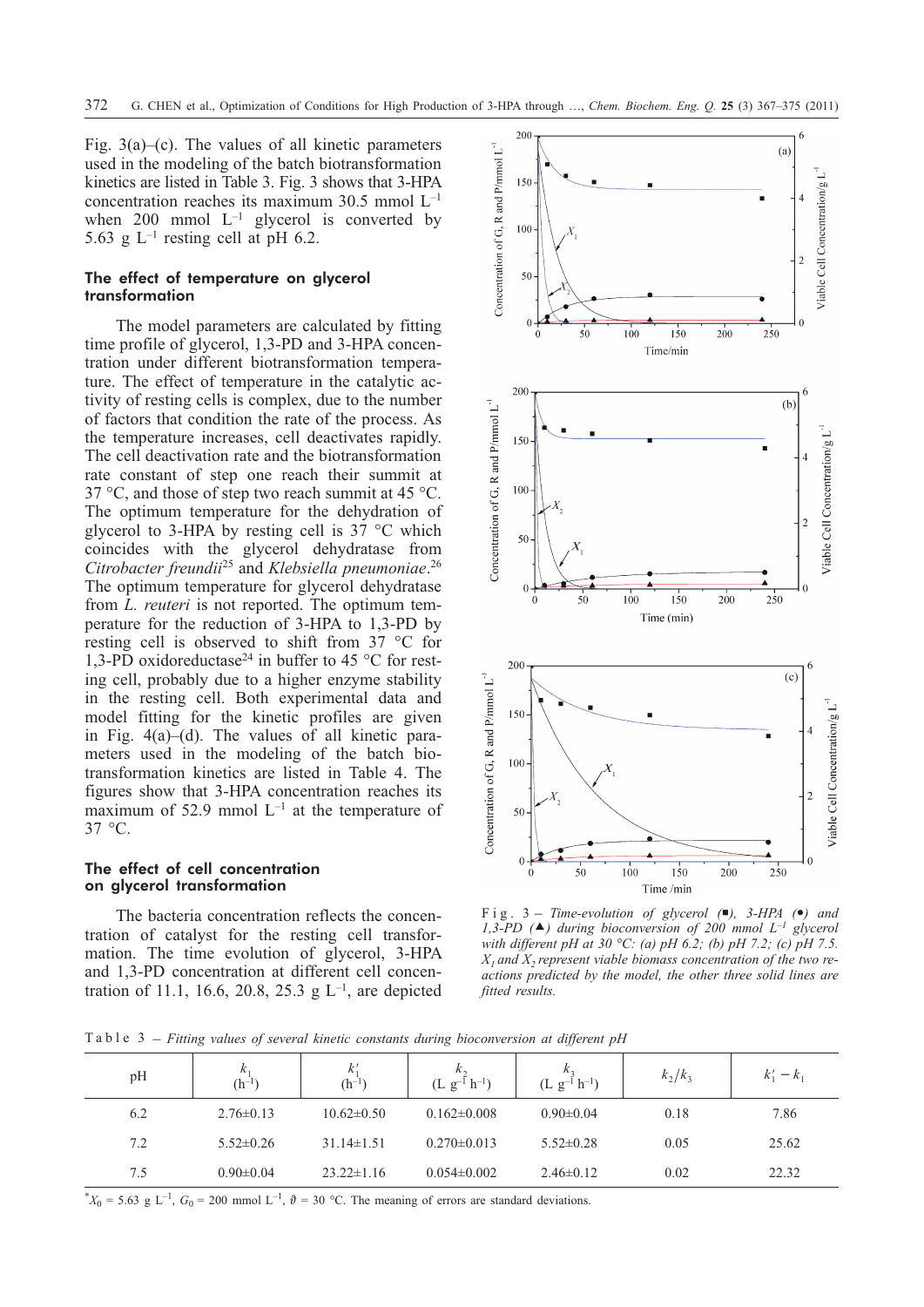Fig.  $3(a)$ –(c). The values of all kinetic parameters used in the modeling of the batch biotransformation kinetics are listed in Table 3. Fig. 3 shows that 3-HPA concentration reaches its maximum 30.5 mmol L–1 when 200 mmol  $L^{-1}$  glycerol is converted by 5.63 g  $L^{-1}$  resting cell at pH 6.2.

#### The effect of temperature on glycerol transformation

The model parameters are calculated by fitting time profile of glycerol, 1,3-PD and 3-HPA concentration under different biotransformation temperature. The effect of temperature in the catalytic activity of resting cells is complex, due to the number of factors that condition the rate of the process. As the temperature increases, cell deactivates rapidly. The cell deactivation rate and the biotransformation rate constant of step one reach their summit at 37 °C, and those of step two reach summit at 45 °C. The optimum temperature for the dehydration of glycerol to 3-HPA by resting cell is  $37^{\circ}$ C which coincides with the glycerol dehydratase from *Citrobacter freundii*<sup>25</sup> and *Klebsiella pneumoniae*. 26 The optimum temperature for glycerol dehydratase from *L. reuteri* is not reported. The optimum temperature for the reduction of 3-HPA to 1,3-PD by resting cell is observed to shift from 37 °C for 1,3-PD oxidoreductase24 in buffer to 45 °C for resting cell, probably due to a higher enzyme stability in the resting cell. Both experimental data and model fitting for the kinetic profiles are given in Fig.  $4(a)$ –(d). The values of all kinetic parameters used in the modeling of the batch biotransformation kinetics are listed in Table 4. The figures show that 3-HPA concentration reaches its maximum of 52.9 mmol  $L^{-1}$  at the temperature of 37 °C.

#### The effect of cell concentration on glycerol transformation

The bacteria concentration reflects the concentration of catalyst for the resting cell transformation. The time evolution of glycerol, 3-HPA and 1,3-PD concentration at different cell concentration of 11.1, 16.6, 20.8, 25.3 g  $L^{-1}$ , are depicted



*1,3-PD* ( $\triangle$ ) during bioconversion of 200 mmol  $L^{-1}$  glycerol *with different pH at 30 °C: (a) pH 6.2; (b) pH 7.2; (c) pH 7.5.*  $X_1$  *and*  $X_2$  *represent viable biomass concentration of the two reactions predicted by the model, the other three solid lines are fitted results.*

Table 3 – *Fitting values of several kinetic constants during bioconversion at different pH*

| pH  | $\kappa$ .<br>$(h^{-1})$ | $k_{1}$<br>$(h^{-1})$ | $n_{\alpha}$<br>$(L g^{-1} h^{-1})$ | $k_{\gamma}$<br>$(L g^{-1} h^{-1})$ | $k_{2}/k_{3}$ | $k'_1 - k_1$ |
|-----|--------------------------|-----------------------|-------------------------------------|-------------------------------------|---------------|--------------|
| 6.2 | $2.76 \pm 0.13$          | $10.62 \pm 0.50$      | $0.162 \pm 0.008$                   | $0.90 \pm 0.04$                     | 0.18          | 7.86         |
| 7.2 | $5.52 \pm 0.26$          | $31.14 \pm 1.51$      | $0.270 \pm 0.013$                   | $5.52 \pm 0.28$                     | 0.05          | 25.62        |
| 7.5 | $0.90 \pm 0.04$          | $23.22 \pm 1.16$      | $0.054 \pm 0.002$                   | $2.46 \pm 0.12$                     | 0.02          | 22.32        |

 $X_0 = 5.63$  g L<sup>-1</sup>,  $G_0 = 200$  mmol L<sup>-1</sup>,  $\vartheta = 30$  °C. The meaning of errors are standard deviations.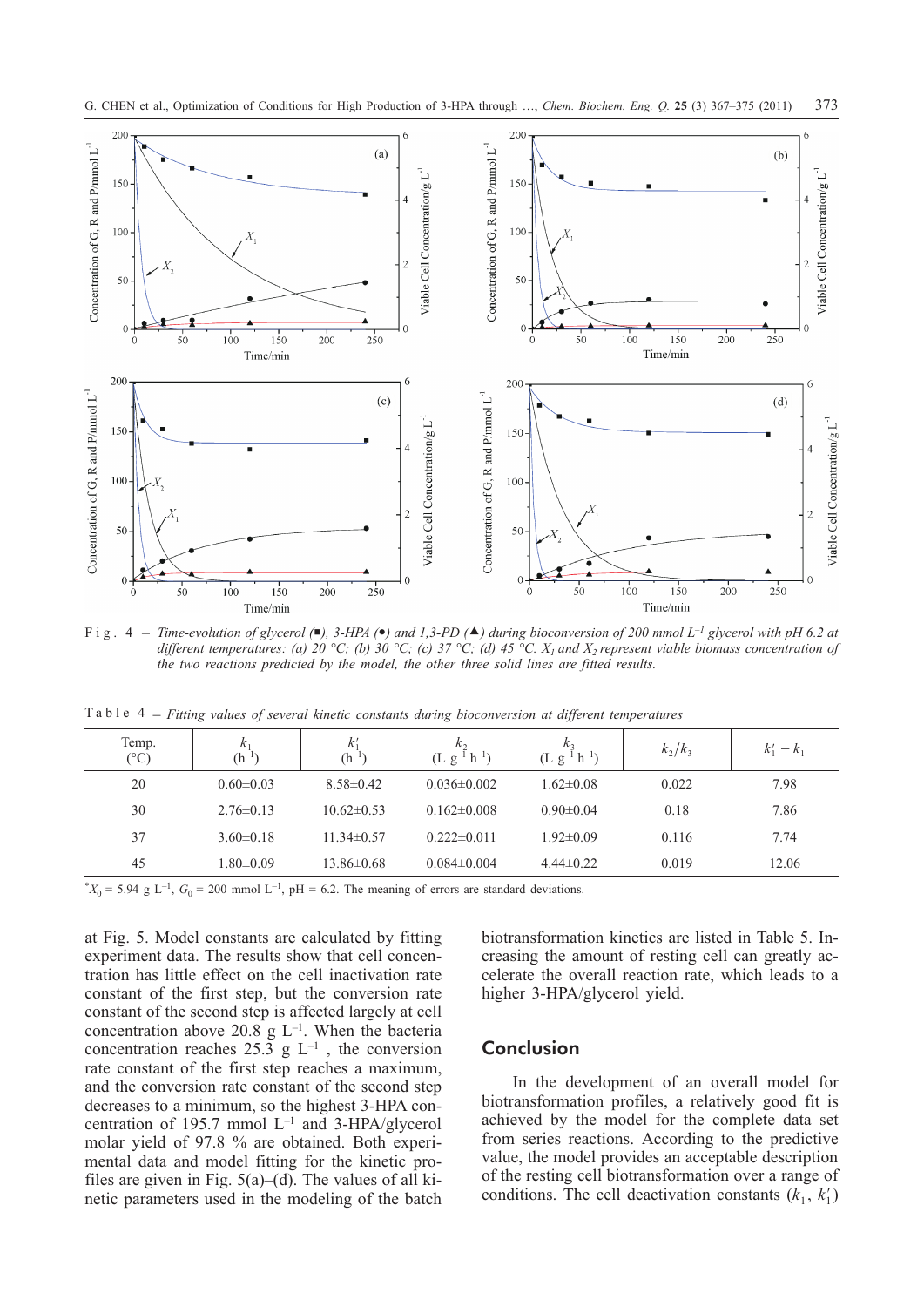

 $\frac{6}{\frac{1}{250}}$   $\frac{6}{\frac{1}{250}}$   $\frac{1}{100}$   $\frac{150}{150}$   $\frac{200}{250}$   $\frac{250}{250}$   $\frac{1}{100}$   $\frac{150}{150}$   $\frac{200}{250}$   $\frac{250}{250}$   $\frac{1}{100}$   $\frac{150}{150}$   $\frac{200}{250}$   $\frac{250}{250}$   $\frac{1}{100}$   $\frac{1}{150}$  *different temperatures: (a) 20 °C; (b) 30 °C; (c) 37 °C; (d) 45 °C.*  $X_1$  *and*  $X_2$  *represent viable biomass concentration of the two reactions predicted by the model, the other three solid lines are fitted results.*

50

 $\theta$ 

Ċ

 $50$ 

 $100$ 

 $15<sub>C</sub>$ 

Time/min

200

Table 4 – *Fitting values of several kinetic constants during bioconversion at different temperatures*

250

 $\theta$ 

| Temp.<br>(°C) | $k_{1}$<br>$(h^{-1})$ | $k_{1}^{\prime}$<br>$(h^{-1})$ | $k_{\alpha}$<br>$(L g^{-1} h^{-1})$ | $k_{\rm z}$<br>$(L g^{-1} h^{-1})$ | $k_2/k_3$ | $k'_1 - k_1$ |
|---------------|-----------------------|--------------------------------|-------------------------------------|------------------------------------|-----------|--------------|
| 20            | $0.60 \pm 0.03$       | $8.58 \pm 0.42$                | $0.036 \pm 0.002$                   | $1.62 \pm 0.08$                    | 0.022     | 7.98         |
| 30            | $2.76 \pm 0.13$       | $10.62 \pm 0.53$               | $0.162\pm0.008$                     | $0.90 \pm 0.04$                    | 0.18      | 7.86         |
| 37            | $3.60 \pm 0.18$       | $11.34\pm0.57$                 | $0.222 \pm 0.011$                   | $1.92 \pm 0.09$                    | 0.116     | 7.74         |
| 45            | $1.80 \pm 0.09$       | $13.86 \pm 0.68$               | $0.084\pm0.004$                     | $4.44\pm0.22$                      | 0.019     | 12.06        |

 $X_0$  = 5.94 g L<sup>-1</sup>,  $G_0$  = 200 mmol L<sup>-1</sup>, pH = 6.2. The meaning of errors are standard deviations.

at Fig. 5. Model constants are calculated by fitting experiment data. The results show that cell concentration has little effect on the cell inactivation rate constant of the first step, but the conversion rate constant of the second step is affected largely at cell concentration above 20.8 g  $L^{-1}$ . When the bacteria concentration reaches 25.3 g  $L^{-1}$ , the conversion rate constant of the first step reaches a maximum, and the conversion rate constant of the second step decreases to a minimum, so the highest 3-HPA concentration of 195.7 mmol L–1 and 3-HPA/glycerol molar yield of 97.8 % are obtained. Both experimental data and model fitting for the kinetic profiles are given in Fig.  $5(a)$ –(d). The values of all kinetic parameters used in the modeling of the batch

50

biotransformation kinetics are listed in Table 5. Increasing the amount of resting cell can greatly accelerate the overall reaction rate, which leads to a higher 3-HPA/glycerol yield.

 $\Omega$ 

 $250$ 

## **Conclusion**

In the development of an overall model for biotransformation profiles, a relatively good fit is achieved by the model for the complete data set from series reactions. According to the predictive value, the model provides an acceptable description of the resting cell biotransformation over a range of conditions. The cell deactivation constants  $(k_1, k'_1)$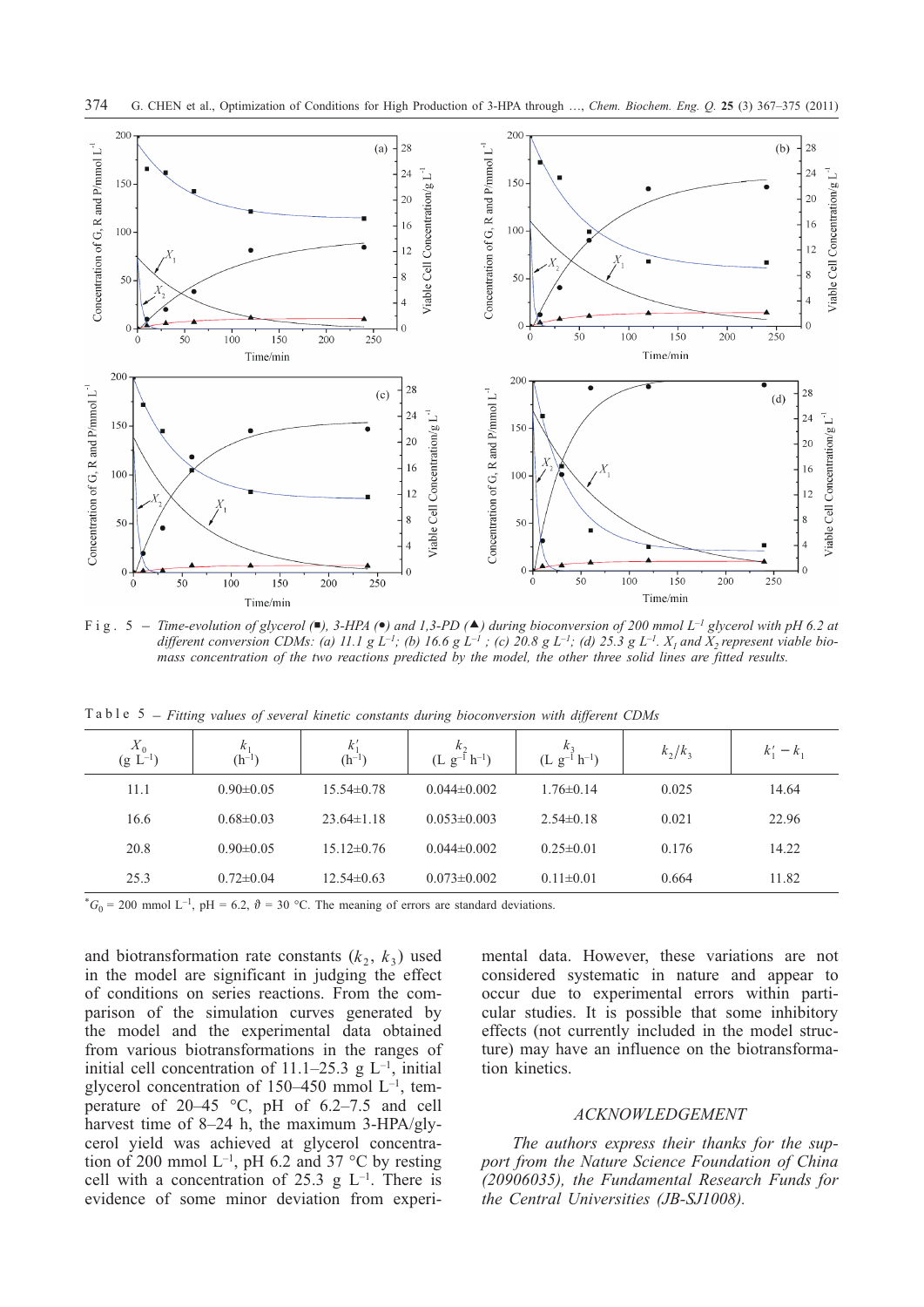



*different conversion CDMs: (a) 11.1 g L<sup>-1</sup>; (b) 16.6 g L<sup>-1</sup>; (c) 20.8 g L<sup>-1</sup>; (d) 25.3 g L<sup>-1</sup>. <i>X<sub>1</sub> and X<sub>2</sub> represent viable biomass concentration of the two reactions predicted by the model, the other three solid lines are fitted results.*

Table 5 – *Fitting values of several kinetic constants during bioconversion with different CDMs*

| $X_{0}$<br>$(g L^{-1})$ | $k_{\cdot}$<br>$(h^{-1})$ | $k_{1}^{\prime}$<br>$(h^{-1})$ | $k_{\alpha}$<br>$(L g^{-1} h^{-1})$ | $k_{\gamma}$<br>$(L g^{-1} h^{-1})$ | $k_{2}/k_{3}$ | $k'_1 - k_1$ |
|-------------------------|---------------------------|--------------------------------|-------------------------------------|-------------------------------------|---------------|--------------|
| 11.1                    | $0.90 \pm 0.05$           | $15.54 \pm 0.78$               | $0.044\pm0.002$                     | $1.76 \pm 0.14$                     | 0.025         | 14.64        |
| 16.6                    | $0.68 \pm 0.03$           | $23.64\pm1.18$                 | $0.053 \pm 0.003$                   | $2.54\pm0.18$                       | 0.021         | 22.96        |
| 20.8                    | $0.90 \pm 0.05$           | $15.12 \pm 0.76$               | $0.044\pm0.002$                     | $0.25 \pm 0.01$                     | 0.176         | 14.22        |
| 25.3                    | $0.72 \pm 0.04$           | $12.54 \pm 0.63$               | $0.073 \pm 0.002$                   | $0.11 \pm 0.01$                     | 0.664         | 11.82        |

 $^*G_0 = 200$  mmol L<sup>-1</sup>, pH = 6.2,  $\vartheta = 30$  °C. The meaning of errors are standard deviations.

and biotransformation rate constants  $(k_2, k_3)$  used in the model are significant in judging the effect of conditions on series reactions. From the comparison of the simulation curves generated by the model and the experimental data obtained from various biotransformations in the ranges of initial cell concentration of  $11.1-25.3$  g L<sup>-1</sup>, initial glycerol concentration of 150–450 mmol L–1, temperature of 20–45  $\degree$ C, pH of 6.2–7.5 and cell harvest time of 8–24 h, the maximum 3-HPA/glycerol yield was achieved at glycerol concentration of 200 mmol  $L^{-1}$ , pH 6.2 and 37 °C by resting cell with a concentration of 25.3 g  $L^{-1}$ . There is evidence of some minor deviation from experimental data. However, these variations are not considered systematic in nature and appear to occur due to experimental errors within particular studies. It is possible that some inhibitory effects (not currently included in the model structure) may have an influence on the biotransformation kinetics.

#### *ACKNOWLEDGEMENT*

*The authors express their thanks for the support from the Nature Science Foundation of China (20906035), the Fundamental Research Funds for the Central Universities (JB-SJ1008).*